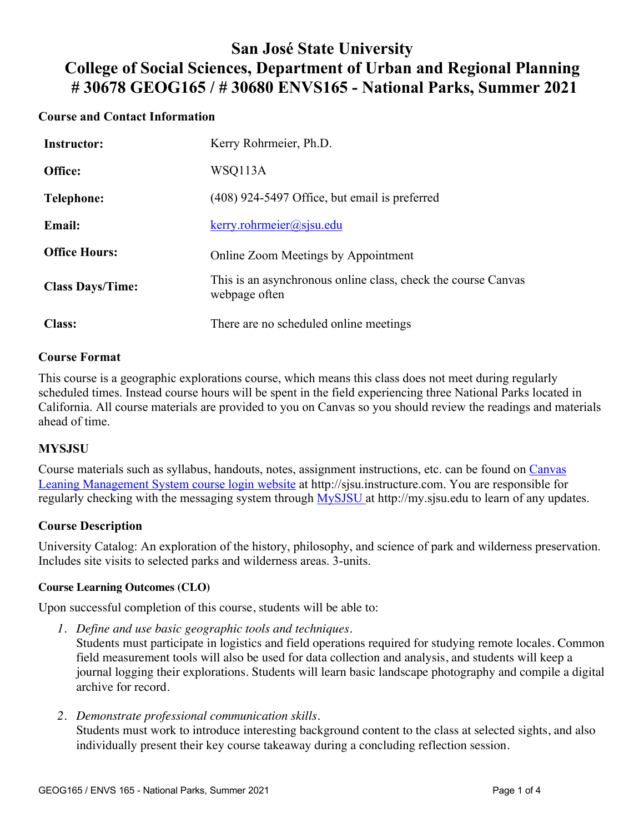## **San José State University College of Social Sciences, Department of Urban and Regional Planning # 30678 GEOG165 / # 30680 ENVS165 - National Parks, Summer 2021**

### **Course and Contact Information**

| <b>Instructor:</b>      | Kerry Rohrmeier, Ph.D.                                                         |
|-------------------------|--------------------------------------------------------------------------------|
| Office:                 | WSQ113A                                                                        |
| Telephone:              | (408) 924-5497 Office, but email is preferred                                  |
| <b>Email:</b>           | $k$ erry.rohrmeier@sjsu.edu                                                    |
| <b>Office Hours:</b>    | Online Zoom Meetings by Appointment                                            |
| <b>Class Days/Time:</b> | This is an asynchronous online class, check the course Canvas<br>webpage often |
| <b>Class:</b>           | There are no scheduled online meetings                                         |

#### **Course Format**

This course is a geographic explorations course, which means this class does not meet during regularly scheduled times. Instead course hours will be spent in the field experiencing three National Parks located in California. All course materials are provided to you on Canvas so you should review the readings and materials ahead of time.

#### **MYSJSU**

Course materials such as syllabus, handouts, notes, assignment instructions, etc. can be found on Canvas Leaning Management System course login website at http://sjsu.instructure.com. You are responsible for regularly checking with the messaging system through MySJSU at http://my.sjsu.edu to learn of any updates.

#### **Course Description**

University Catalog: An exploration of the history, philosophy, and science of park and wilderness preservation. Includes site visits to selected parks and wilderness areas. 3-units.

#### **Course Learning Outcomes (CLO)**

Upon successful completion of this course, students will be able to:

*1. Define and use basic geographic tools and techniques.*

Students must participate in logistics and field operations required for studying remote locales. Common field measurement tools will also be used for data collection and analysis, and students will keep a journal logging their explorations. Students will learn basic landscape photography and compile a digital archive for record.

*2. Demonstrate professional communication skills.*

Students must work to introduce interesting background content to the class at selected sights, and also individually present their key course takeaway during a concluding reflection session.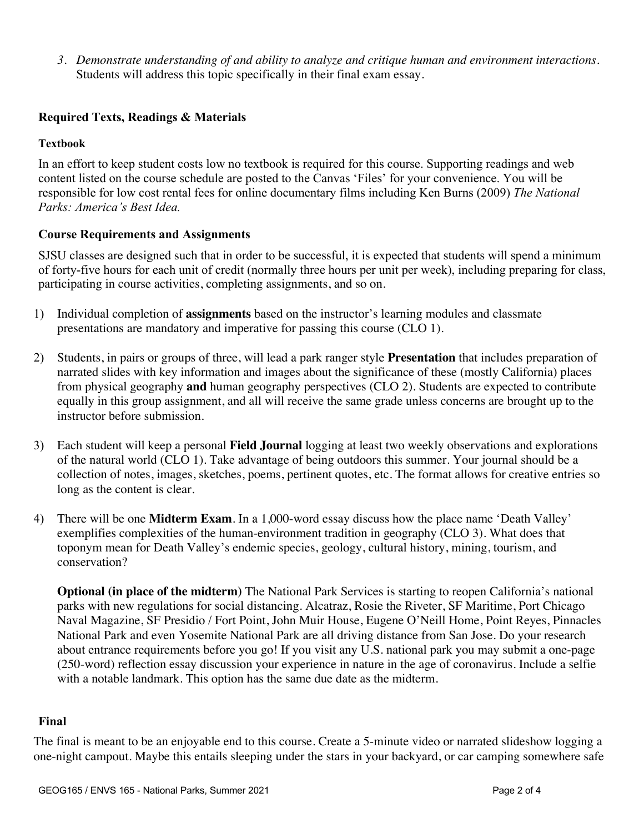*3. Demonstrate understanding of and ability to analyze and critique human and environment interactions.* Students will address this topic specifically in their final exam essay.

### **Required Texts, Readings & Materials**

#### **Textbook**

In an effort to keep student costs low no textbook is required for this course. Supporting readings and web content listed on the course schedule are posted to the Canvas 'Files' for your convenience. You will be responsible for low cost rental fees for online documentary films including Ken Burns (2009) *The National Parks: America's Best Idea.*

#### **Course Requirements and Assignments**

SJSU classes are designed such that in order to be successful, it is expected that students will spend a minimum of forty-five hours for each unit of credit (normally three hours per unit per week), including preparing for class, participating in course activities, completing assignments, and so on.

- 1) Individual completion of **assignments** based on the instructor's learning modules and classmate presentations are mandatory and imperative for passing this course (CLO 1).
- 2) Students, in pairs or groups of three, will lead a park ranger style **Presentation** that includes preparation of narrated slides with key information and images about the significance of these (mostly California) places from physical geography **and** human geography perspectives (CLO 2). Students are expected to contribute equally in this group assignment, and all will receive the same grade unless concerns are brought up to the instructor before submission.
- 3) Each student will keep a personal **Field Journal** logging at least two weekly observations and explorations of the natural world (CLO 1). Take advantage of being outdoors this summer. Your journal should be a collection of notes, images, sketches, poems, pertinent quotes, etc. The format allows for creative entries so long as the content is clear.
- 4) There will be one **Midterm Exam**. In a 1,000-word essay discuss how the place name 'Death Valley' exemplifies complexities of the human-environment tradition in geography (CLO 3). What does that toponym mean for Death Valley's endemic species, geology, cultural history, mining, tourism, and conservation?

**Optional (in place of the midterm)** The National Park Services is starting to reopen California's national parks with new regulations for social distancing. Alcatraz, Rosie the Riveter, SF Maritime, Port Chicago Naval Magazine, SF Presidio / Fort Point, John Muir House, Eugene O'Neill Home, Point Reyes, Pinnacles National Park and even Yosemite National Park are all driving distance from San Jose. Do your research about entrance requirements before you go! If you visit any U.S. national park you may submit a one-page (250-word) reflection essay discussion your experience in nature in the age of coronavirus. Include a selfie with a notable landmark. This option has the same due date as the midterm.

#### **Final**

The final is meant to be an enjoyable end to this course. Create a 5-minute video or narrated slideshow logging a one-night campout. Maybe this entails sleeping under the stars in your backyard, or car camping somewhere safe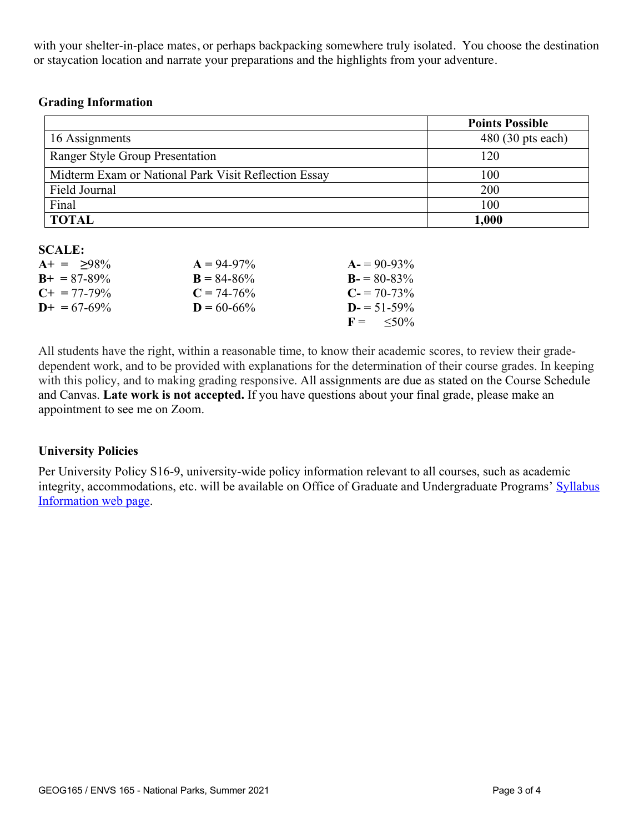with your shelter-in-place mates, or perhaps backpacking somewhere truly isolated. You choose the destination or staycation location and narrate your preparations and the highlights from your adventure.

#### **Grading Information**

|                                                      | <b>Points Possible</b>     |
|------------------------------------------------------|----------------------------|
| 16 Assignments                                       | $480(30 \text{ pts each})$ |
| Ranger Style Group Presentation                      | 120                        |
| Midterm Exam or National Park Visit Reflection Essay | 100                        |
| Field Journal                                        | 200                        |
| Final                                                | 100                        |
| <b>TOTAL</b>                                         | 1,000                      |

#### **SCALE:**

| $A+ = 98\%$           | $A = 94-97\%$   | $A = 90-93\%$        |
|-----------------------|-----------------|----------------------|
| $B_{+} = 87 - 89\%$   | $B = 84 - 86\%$ | $B = 80-83\%$        |
| $C_{\pm} = 77 - 79\%$ | $C = 74-76%$    | $C = 70-73\%$        |
| $D_{+} = 67 - 69\%$   | $D = 60 - 66\%$ | $D = 51 - 59\%$      |
|                       |                 | $F = \frac{50\%}{6}$ |

All students have the right, within a reasonable time, to know their academic scores, to review their gradedependent work, and to be provided with explanations for the determination of their course grades. In keeping with this policy, and to making grading responsive. All assignments are due as stated on the Course Schedule and Canvas. **Late work is not accepted.** If you have questions about your final grade, please make an appointment to see me on Zoom.

#### **University Policies**

Per University Policy S16-9, university-wide policy information relevant to all courses, such as academic integrity, accommodations, etc. will be available on Office of Graduate and Undergraduate Programs' Syllabus Information web page.